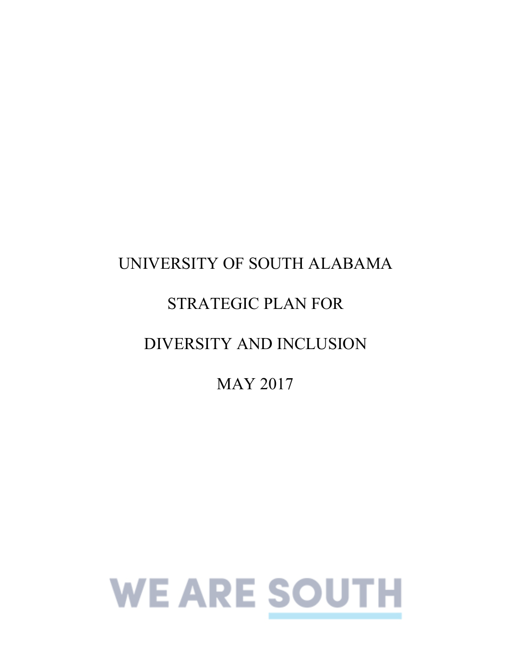# UNIVERSITY OF SOUTH ALABAMA STRATEGIC PLAN FOR DIVERSITY AND INCLUSION

MAY 2017

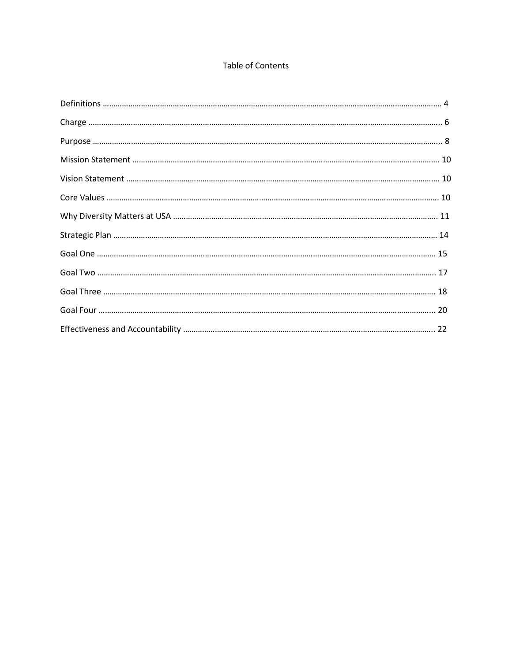#### **Table of Contents**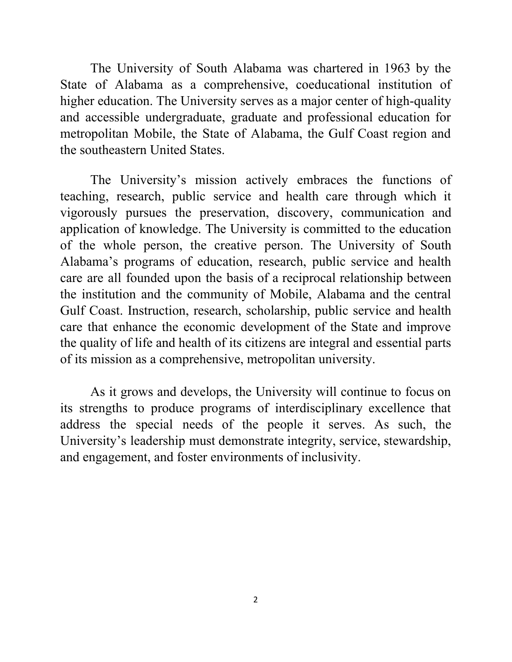The University of South Alabama was chartered in 1963 by the State of Alabama as a comprehensive, coeducational institution of higher education. The University serves as a major center of high-quality and accessible undergraduate, graduate and professional education for metropolitan Mobile, the State of Alabama, the Gulf Coast region and the southeastern United States.

 The University's mission actively embraces the functions of teaching, research, public service and health care through which it vigorously pursues the preservation, discovery, communication and application of knowledge. The University is committed to the education of the whole person, the creative person. The University of South Alabama's programs of education, research, public service and health care are all founded upon the basis of a reciprocal relationship between the institution and the community of Mobile, Alabama and the central Gulf Coast. Instruction, research, scholarship, public service and health care that enhance the economic development of the State and improve the quality of life and health of its citizens are integral and essential parts of its mission as a comprehensive, metropolitan university.

 As it grows and develops, the University will continue to focus on its strengths to produce programs of interdisciplinary excellence that address the special needs of the people it serves. As such, the University's leadership must demonstrate integrity, service, stewardship, and engagement, and foster environments of inclusivity.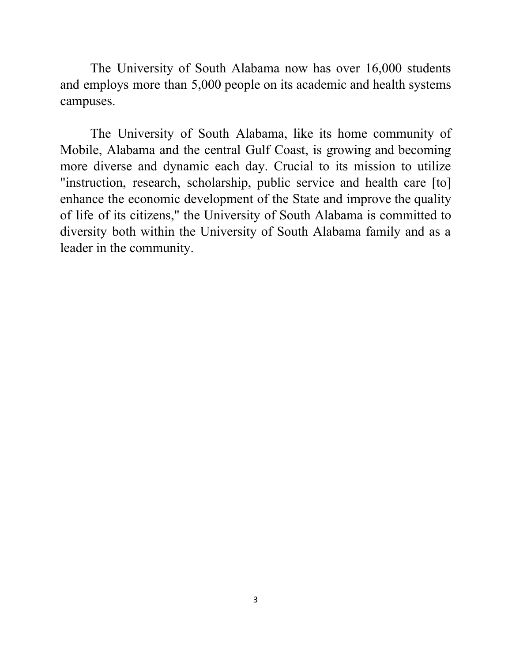The University of South Alabama now has over 16,000 students and employs more than 5,000 people on its academic and health systems campuses.

 The University of South Alabama, like its home community of Mobile, Alabama and the central Gulf Coast, is growing and becoming more diverse and dynamic each day. Crucial to its mission to utilize "instruction, research, scholarship, public service and health care [to] enhance the economic development of the State and improve the quality of life of its citizens," the University of South Alabama is committed to diversity both within the University of South Alabama family and as a leader in the community.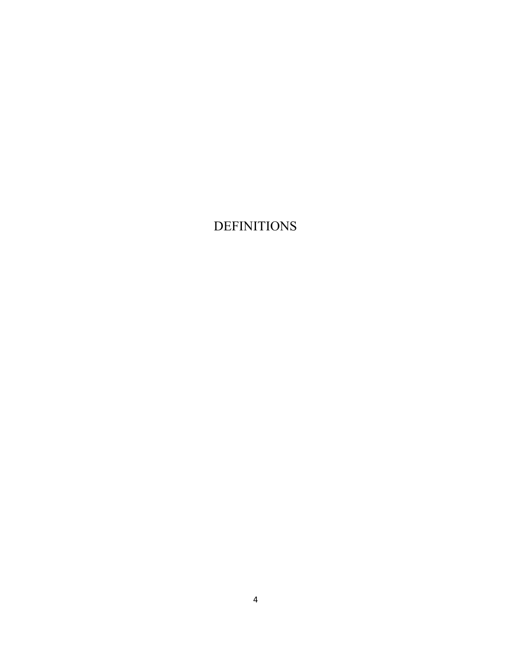## <span id="page-4-0"></span>DEFINITIONS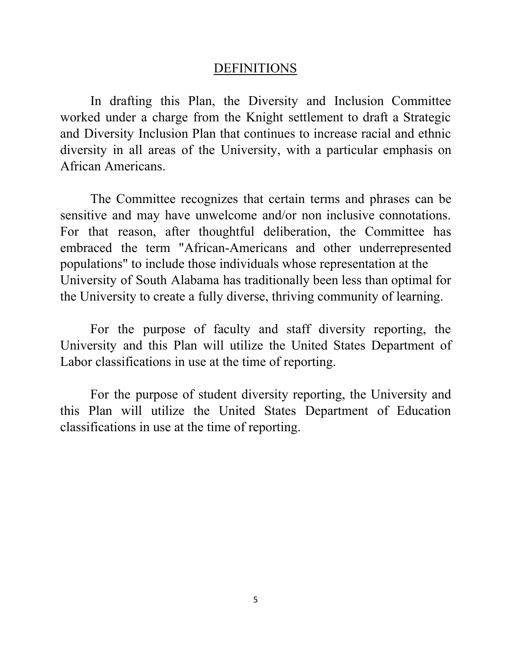#### DEFINITIONS

 In drafting this Plan, the Diversity and Inclusion Committee worked under a charge from the Knight settlement to draft a Strategic and Diversity Inclusion Plan that continues to increase racial and ethnic diversity in all areas of the University, with a particular emphasis on African Americans.

 The Committee recognizes that certain terms and phrases can be sensitive and may have unwelcome and/or non inclusive connotations. For that reason, after thoughtful deliberation, the Committee has embraced the term "African-Americans and other underrepresented populations" to include those individuals whose representation at the University of South Alabama has traditionally been less than optimal for the University to create a fully diverse, thriving community of learning.

 For the purpose of faculty and staff diversity reporting, the University and this Plan will utilize the United States Department of Labor classifications in use at the time of reporting.

 For the purpose of student diversity reporting, the University and this Plan will utilize the United States Department of Education classifications in use at the time of reporting.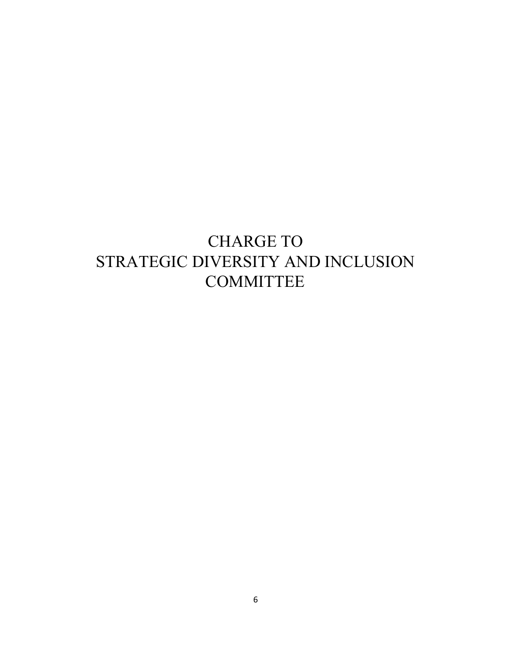# <span id="page-6-0"></span> STRATEGIC DIVERSITY AND INCLUSION CHARGE TO **COMMITTEE**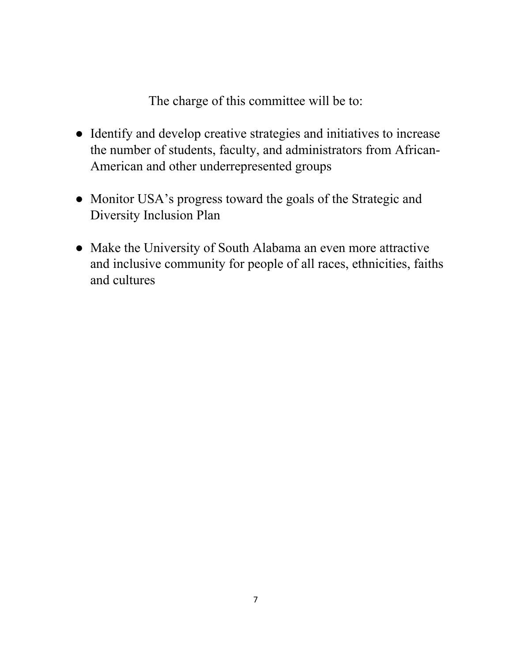The charge of this committee will be to:

- Identify and develop creative strategies and initiatives to increase the number of students, faculty, and administrators from African-American and other underrepresented groups
- ● Monitor USA's progress toward the goals of the Strategic and Diversity Inclusion Plan
- ● Make the University of South Alabama an even more attractive and inclusive community for people of all races, ethnicities, faiths and cultures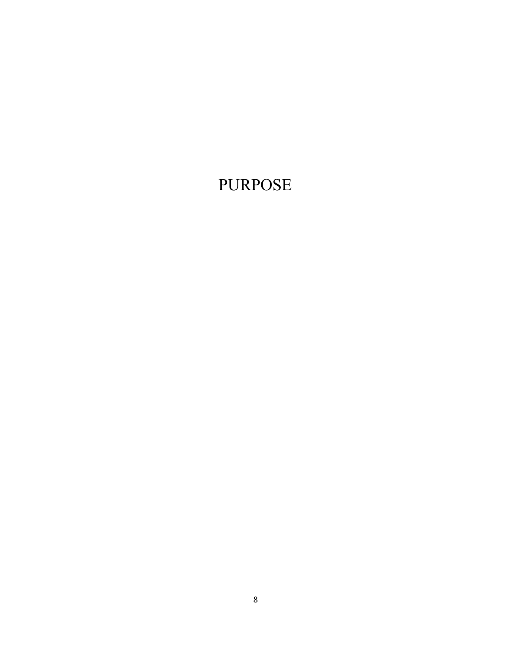# <span id="page-8-0"></span>PURPOSE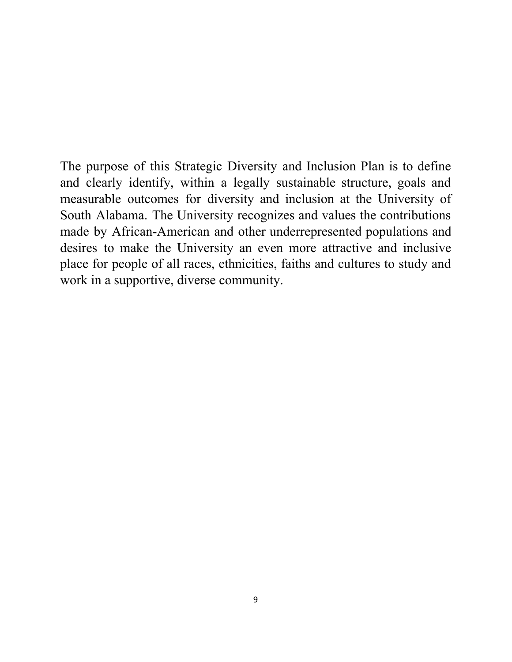The purpose of this Strategic Diversity and Inclusion Plan is to define and clearly identify, within a legally sustainable structure, goals and measurable outcomes for diversity and inclusion at the University of South Alabama. The University recognizes and values the contributions made by African-American and other underrepresented populations and desires to make the University an even more attractive and inclusive place for people of all races, ethnicities, faiths and cultures to study and work in a supportive, diverse community.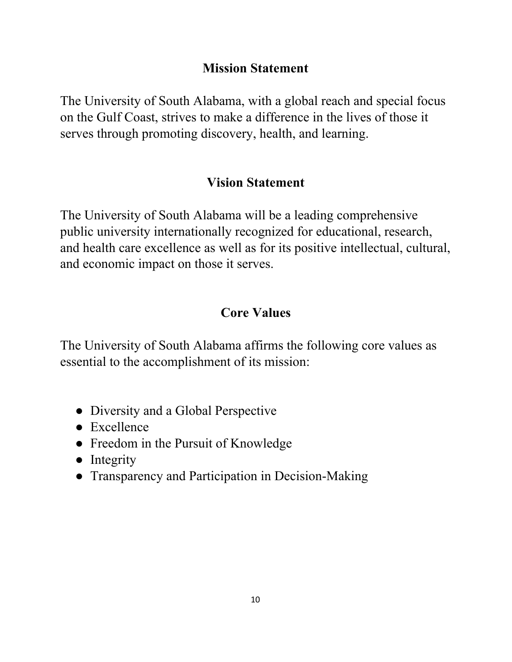#### **Mission Statement**

<span id="page-10-0"></span> The University of South Alabama, with a global reach and special focus on the Gulf Coast, strives to make a difference in the lives of those it serves through promoting discovery, health, and learning.

#### **Vision Statement**

 The University of South Alabama will be a leading comprehensive public university internationally recognized for educational, research, and health care excellence as well as for its positive intellectual, cultural, and economic impact on those it serves.

#### **Core Values**

 The University of South Alabama affirms the following core values as essential to the accomplishment of its mission:

- Diversity and a Global Perspective
- Excellence
- Freedom in the Pursuit of Knowledge
- Integrity
- Transparency and Participation in Decision-Making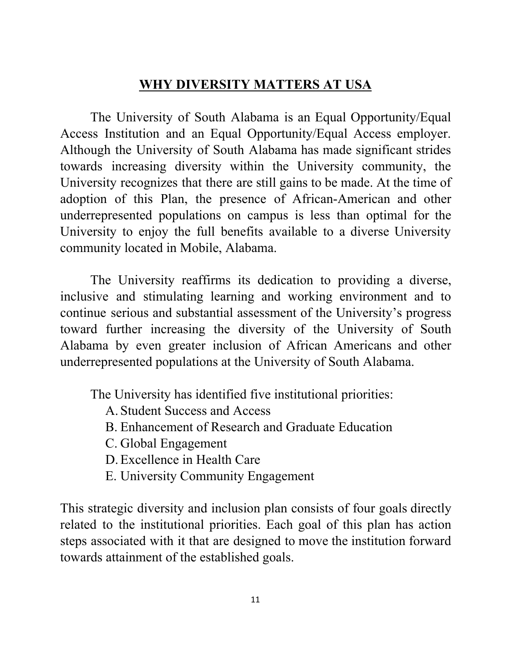## **WHY DIVERSITY MATTERS AT USA**

<span id="page-11-0"></span> The University of South Alabama is an Equal Opportunity/Equal Access Institution and an Equal Opportunity/Equal Access employer. Although the University of South Alabama has made significant strides towards increasing diversity within the University community, the University recognizes that there are still gains to be made. At the time of adoption of this Plan, the presence of African-American and other underrepresented populations on campus is less than optimal for the University to enjoy the full benefits available to a diverse University community located in Mobile, Alabama.

 The University reaffirms its dedication to providing a diverse, inclusive and stimulating learning and working environment and to continue serious and substantial assessment of the University's progress toward further increasing the diversity of the University of South Alabama by even greater inclusion of African Americans and other underrepresented populations at the University of South Alabama.

The University has identified five institutional priorities:

- A. Student Success and Access
- B. Enhancement of Research and Graduate Education
- C. Global Engagement
- D. Excellence in Health Care
- E. University Community Engagement

 This strategic diversity and inclusion plan consists of four goals directly related to the institutional priorities. Each goal of this plan has action steps associated with it that are designed to move the institution forward towards attainment of the established goals.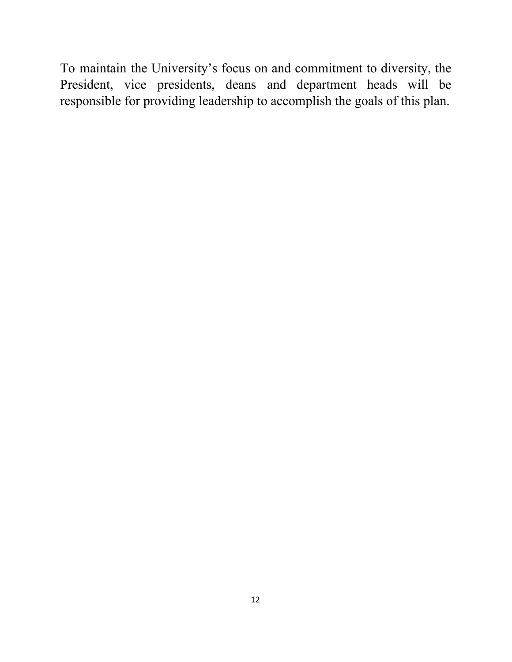To maintain the University's focus on and commitment to diversity, the President, vice presidents, deans and department heads will be responsible for providing leadership to accomplish the goals of this plan.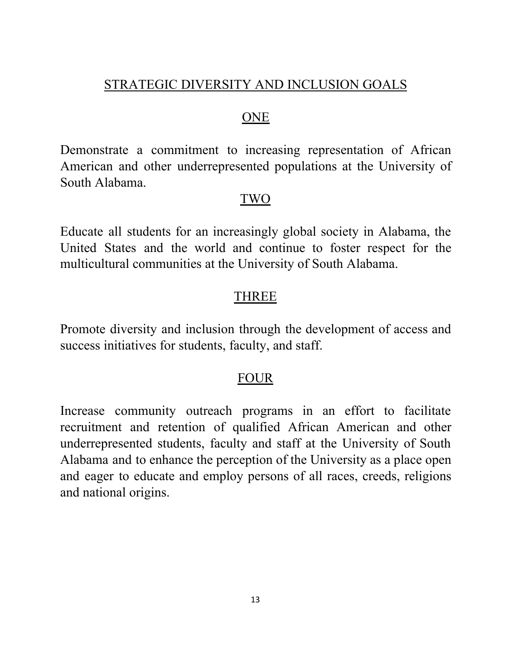## STRATEGIC DIVERSITY AND INCLUSION GOALS

#### ONE

 Demonstrate a commitment to increasing representation of African American and other underrepresented populations at the University of South Alabama.

#### TWO

 Educate all students for an increasingly global society in Alabama, the United States and the world and continue to foster respect for the multicultural communities at the University of South Alabama.

#### THREE

 Promote diversity and inclusion through the development of access and success initiatives for students, faculty, and staff.

#### FOUR

 Increase community outreach programs in an effort to facilitate recruitment and retention of qualified African American and other underrepresented students, faculty and staff at the University of South Alabama and to enhance the perception of the University as a place open and eager to educate and employ persons of all races, creeds, religions and national origins.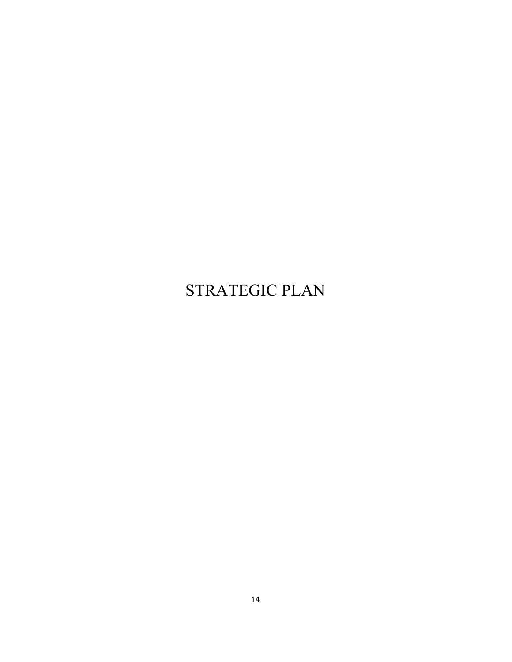# <span id="page-14-0"></span>STRATEGIC PLAN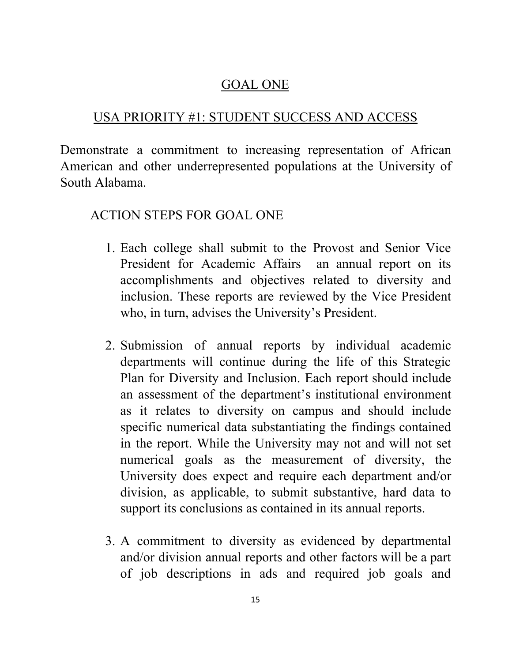#### GOAL ONE

# <span id="page-15-0"></span>USA PRIORITY #1: STUDENT SUCCESS AND ACCESS

 Demonstrate a commitment to increasing representation of African American and other underrepresented populations at the University of South Alabama.

# ACTION STEPS FOR GOAL ONE

- 1. Each college shall submit to the Provost and Senior Vice President for Academic Affairs an annual report on its accomplishments and objectives related to diversity and inclusion. These reports are reviewed by the Vice President who, in turn, advises the University's President.
- 2. Submission of annual reports by individual academic departments will continue during the life of this Strategic Plan for Diversity and Inclusion. Each report should include an assessment of the department's institutional environment as it relates to diversity on campus and should include specific numerical data substantiating the findings contained in the report. While the University may not and will not set numerical goals as the measurement of diversity, the University does expect and require each department and/or division, as applicable, to submit substantive, hard data to support its conclusions as contained in its annual reports.
- 3. A commitment to diversity as evidenced by departmental and/or division annual reports and other factors will be a part of job descriptions in ads and required job goals and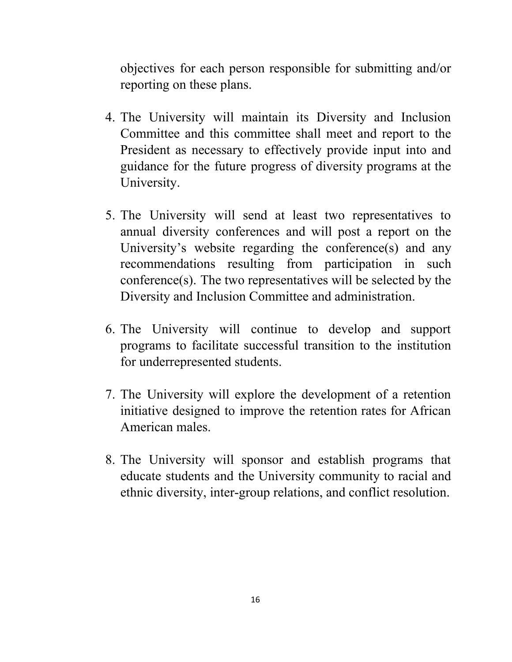objectives for each person responsible for submitting and/or reporting on these plans.

- 4. The University will maintain its Diversity and Inclusion Committee and this committee shall meet and report to the President as necessary to effectively provide input into and guidance for the future progress of diversity programs at the University.
- 5. The University will send at least two representatives to annual diversity conferences and will post a report on the University's website regarding the conference(s) and any recommendations resulting from participation in such conference(s). The two representatives will be selected by the Diversity and Inclusion Committee and administration.
- 6. The University will continue to develop and support programs to facilitate successful transition to the institution for underrepresented students.
- 7. The University will explore the development of a retention initiative designed to improve the retention rates for African American males.
- 8. The University will sponsor and establish programs that educate students and the University community to racial and ethnic diversity, inter-group relations, and conflict resolution.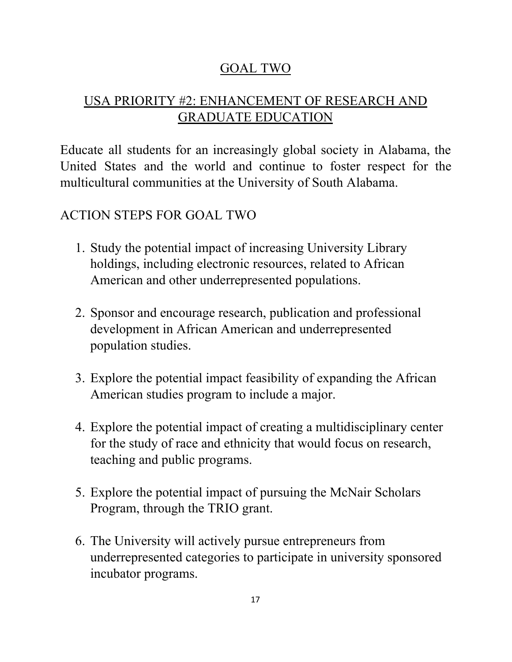## GOAL TWO

## <span id="page-17-0"></span> USA PRIORITY #2: ENHANCEMENT OF RESEARCH AND GRADUATE EDUCATION

 Educate all students for an increasingly global society in Alabama, the United States and the world and continue to foster respect for the multicultural communities at the University of South Alabama.

# ACTION STEPS FOR GOAL TWO

- 1. Study the potential impact of increasing University Library holdings, including electronic resources, related to African American and other underrepresented populations.
- 2. Sponsor and encourage research, publication and professional development in African American and underrepresented population studies.
- 3. Explore the potential impact feasibility of expanding the African American studies program to include a major.
- 4. Explore the potential impact of creating a multidisciplinary center for the study of race and ethnicity that would focus on research, teaching and public programs.
- 5. Explore the potential impact of pursuing the McNair Scholars Program, through the TRIO grant.
- 6. The University will actively pursue entrepreneurs from underrepresented categories to participate in university sponsored incubator programs.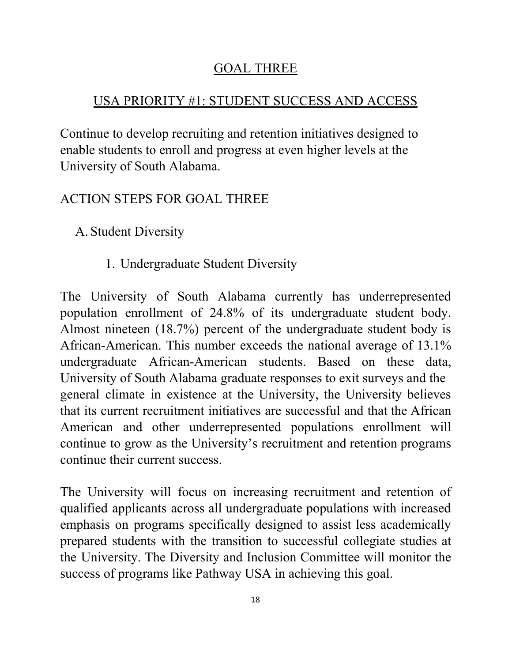## GOAL THREE

# USA PRIORITY #1: STUDENT SUCCESS AND ACCESS

 Continue to develop recruiting and retention initiatives designed to enable students to enroll and progress at even higher levels at the University of South Alabama.

# ACTION STEPS FOR GOAL THREE

- A. Student Diversity
	- 1. Undergraduate Student Diversity

 The University of South Alabama currently has underrepresented population enrollment of 24.8% of its undergraduate student body. Almost nineteen (18.7%) percent of the undergraduate student body is African-American. This number exceeds the national average of 13.1% undergraduate African-American students. Based on these data, University of South Alabama graduate responses to exit surveys and the general climate in existence at the University, the University believes that its current recruitment initiatives are successful and that the African American and other underrepresented populations enrollment will continue to grow as the University's recruitment and retention programs continue their current success.

 The University will focus on increasing recruitment and retention of qualified applicants across all undergraduate populations with increased emphasis on programs specifically designed to assist less academically prepared students with the transition to successful collegiate studies at the University. The Diversity and Inclusion Committee will monitor the success of programs like Pathway USA in achieving this goal.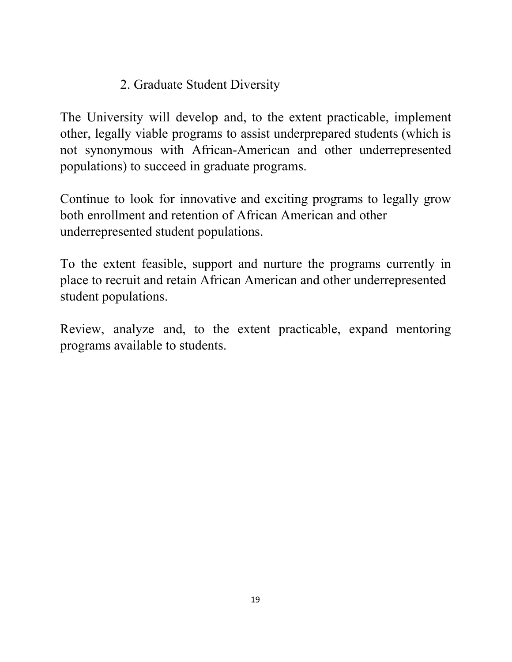# 2. Graduate Student Diversity

 The University will develop and, to the extent practicable, implement other, legally viable programs to assist underprepared students (which is not synonymous with African-American and other underrepresented populations) to succeed in graduate programs.

 Continue to look for innovative and exciting programs to legally grow both enrollment and retention of African American and other underrepresented student populations.

 To the extent feasible, support and nurture the programs currently in place to recruit and retain African American and other underrepresented student populations.

 Review, analyze and, to the extent practicable, expand mentoring programs available to students.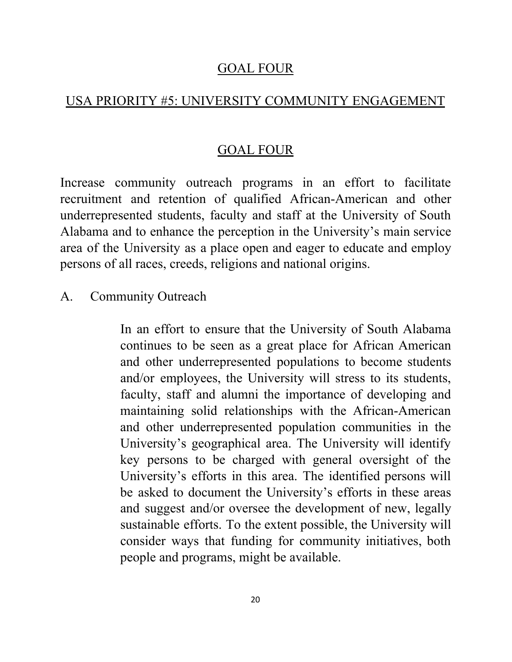#### GOAL FOUR

# <span id="page-20-0"></span>USA PRIORITY #5: UNIVERSITY COMMUNITY ENGAGEMENT

### GOAL FOUR

 Increase community outreach programs in an effort to facilitate recruitment and retention of qualified African-American and other underrepresented students, faculty and staff at the University of South Alabama and to enhance the perception in the University's main service area of the University as a place open and eager to educate and employ persons of all races, creeds, religions and national origins.

#### A. Community Outreach

 In an effort to ensure that the University of South Alabama continues to be seen as a great place for African American and other underrepresented populations to become students and/or employees, the University will stress to its students, faculty, staff and alumni the importance of developing and maintaining solid relationships with the African-American and other underrepresented population communities in the University's geographical area. The University will identify key persons to be charged with general oversight of the University's efforts in this area. The identified persons will be asked to document the University's efforts in these areas and suggest and/or oversee the development of new, legally sustainable efforts. To the extent possible, the University will consider ways that funding for community initiatives, both people and programs, might be available.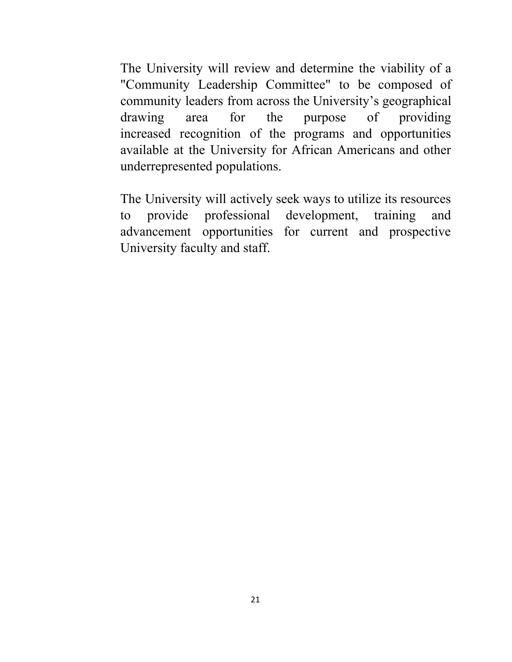The University will review and determine the viability of a "Community Leadership Committee" to be composed of community leaders from across the University's geographical drawing increased recognition of the programs and opportunities available at the University for African Americans and other area for the purpose of providing underrepresented populations.

 The University will actively seek ways to utilize its resources to advancement opportunities for current and prospective University faculty and staff. provide professional development, training and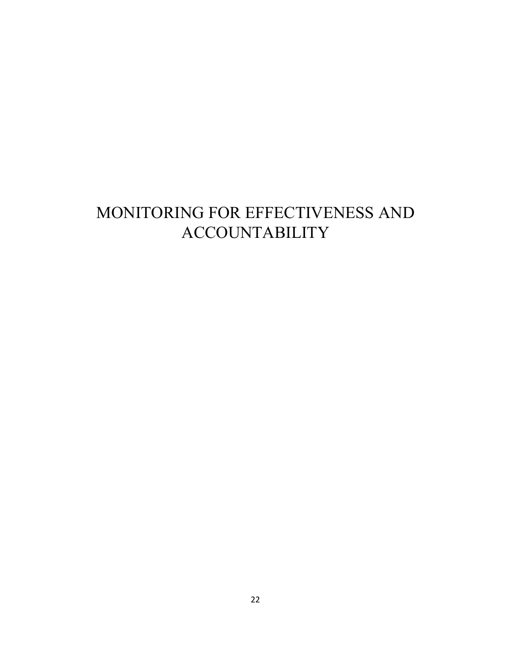# <span id="page-22-0"></span>MONITORING FOR EFFECTIVENESS AND ACCOUNTABILITY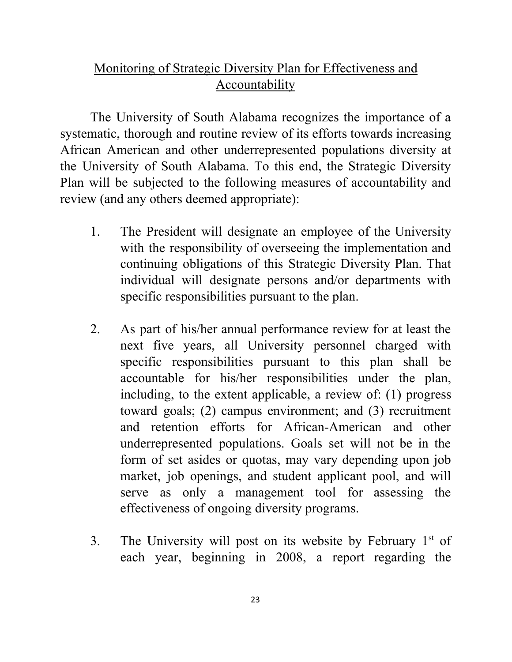### Monitoring of Strategic Diversity Plan for Effectiveness and **Accountability**

 The University of South Alabama recognizes the importance of a systematic, thorough and routine review of its efforts towards increasing African American and other underrepresented populations diversity at the University of South Alabama. To this end, the Strategic Diversity Plan will be subjected to the following measures of accountability and review (and any others deemed appropriate):

- $1.$  with the responsibility of overseeing the implementation and continuing obligations of this Strategic Diversity Plan. That individual will designate persons and/or departments with specific responsibilities pursuant to the plan. The President will designate an employee of the University
- $2.$  next five years, all University personnel charged with specific responsibilities pursuant to this plan shall be accountable for his/her responsibilities under the plan, including, to the extent applicable, a review of: (1) progress toward goals; (2) campus environment; and (3) recruitment and retention efforts for African-American and other underrepresented populations. Goals set will not be in the form of set asides or quotas, may vary depending upon job market, job openings, and student applicant pool, and will serve as only a management tool for assessing the effectiveness of ongoing diversity programs. 2. As part of his/her annual performance review for at least the
- 3. The University will post on its website by February  $1<sup>st</sup>$  of each year, beginning in 2008, a report regarding the